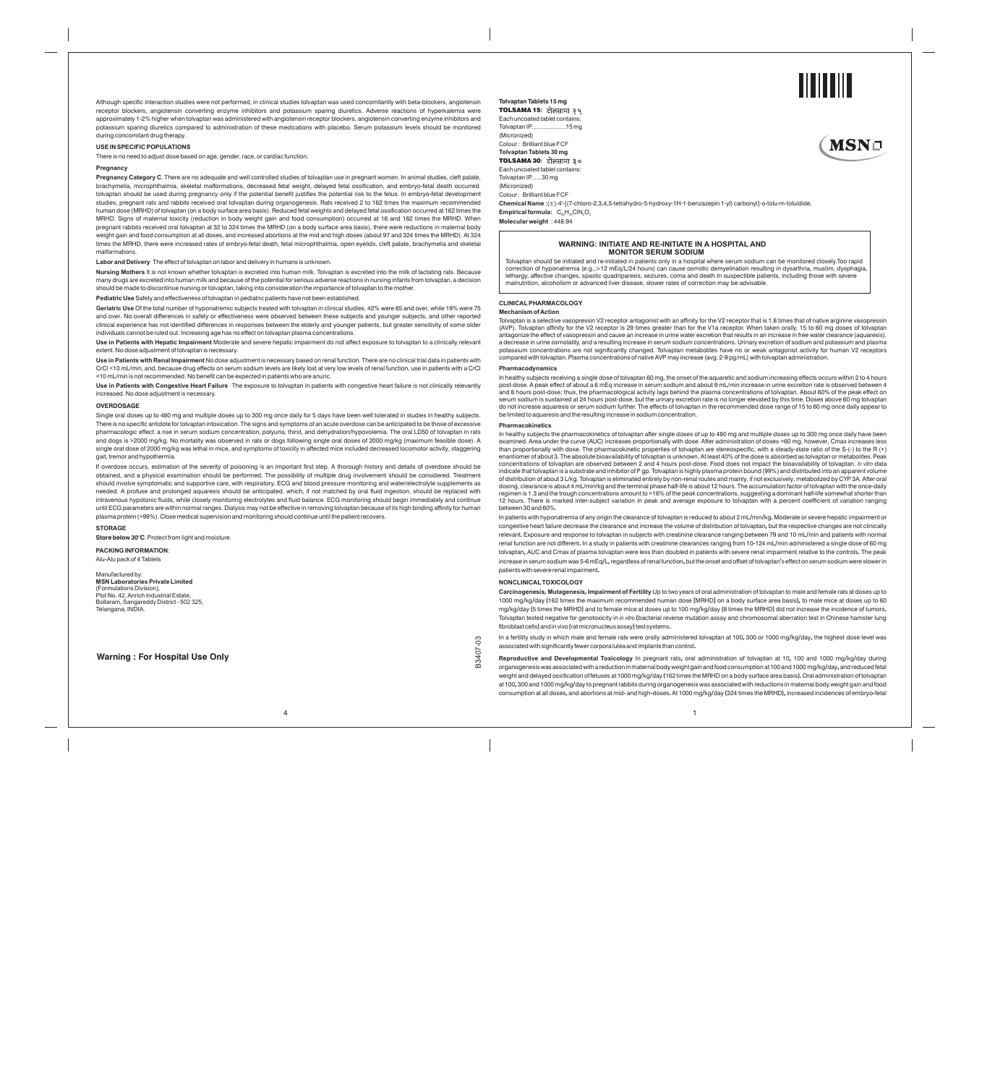Although specific interaction studies were not performed, in clinical studies tolvaptan was used concomitantly with beta-blockers, angiotensin receptor blockers, angiotensin converting enzyme inhibitors and potassium sparing diuretics. Adverse reactions of hyperkalemia were<br>approximately 1-2% higher when tolvaptan was administered with angiotensin receptor blocke potassium sparing diuretics compared to administration of these medications with placebo. Serum potassium levels should be monitored during concomitant drug therapy.

#### **USE IN SPECIFIC POPULATIONS**

There is no need to adjust dose based on age, gender, race, or cardiac function.

## **Pregnancy**

**Pregnancy Category C**. There are no adequate and well controlled studies of tolvaptan use in pregnant women. In animal studies, cleft palate, brachymelia, microphthalmia, skeletal malformations, decreased fetal weight, delayed fetal ossification, and embryo-fetal death occurred. tolvaptan should be used during pregnancy only if the potential benefit justifies the potential risk to the fetus. In embryo-fetal development<br>studies, pregnant rats and rabbits received oral tolvaptan during organogenesis MRHD. Signs of maternal toxicity (reduction in body weight gain and food consumption) occurred at 16 and 162 times the MRHD. When<br>pregnant rabbits received oral tolvaptan at 32 to 324 times the MRHD (on a body surface area times the MRHD, there were increased rates of embryo-fetal death, fetal microphthalmia, open eyelids, cleft palate, brachymelia and skeletal malformations.

**Labor and Delivery** The effect of tolvaptan on labor and delivery in humans is unknown.

**Nursing Mothers** It is not known whether tolvaptan is excreted into human milk. Tolvaptan is excreted into the milk of lactating rats. Because many drugs are excreted into human milk and because of the potential for serious adverse reactions in nursing infants from tolvaptan, a decision should be made to discontinue nursing or tolvaptan, taking into consideration the importance of tolvaptan to the mother.

**Pediatric Use** Safety and effectiveness of tolvaptan in pediatric patients have not been established.

**Geriatric Use** Of the total number of hyponatremic subjects treated with tolvaptan in clinical studies, 42% were 65 and over, while 19% were 75 and over. No overall differences in safety or effectiveness were observed between these subjects and younger subjects, and other reported clinical experience has not identified differences in responses between the elderly and younger patients, but greater sensitivity of some older<br>individuals cannot be ruled out. Increasing age has no effect on tolvaptan pla

**Use in Patients with Hepatic Impairment** Moderate and severe hepatic impairment do not affect exposure to tolvaptan to a clinically relevant extent. No dose adjustment of tolvaptan is necessary.

**Use in Patients with Renal Impairment** No dose adjustment is necessary based on renal function. There are no clinical trial data in patients with CrCl <10 mL/min, and, because drug effects on serum sodium levels are likely lost at very low levels of renal function, use in patients with a CrCl<br><10 mL/min is not recommended. No benefit can be expected in patients who

**Use in Patients with Congestive Heart Failure** The exposure to tolvaptan in patients with congestive heart failure is not clinically relevantly increased. No dose adjust

### **OVERDOSAGE**

Single oral doses up to 480 mg and multiple doses up to 300 mg once daily for 5 days have been well tolerated in studies in healthy subjects. There is no specific antidote for tolvaptan intoxication. The signs and symptoms of an acute overdose can be anticipated to be those of excessive pharmacologic effect: a rise in serum sodium concentration, polyuria, thirst, and dehydration/hypovolemia. The oral LD50 of tolvaptan in rats and dogs is >2000 mg/kg. No mortality was observed in rats or dogs following single oral doses of 2000 mg/kg (maximum feasible dose). A<br>single oral dose of 2000 mg/kg was lethal in mice, and symptoms of toxicity in affecte gait, tremor and hypothermia.

If overdose occurs, estimation of the severity of poisoning is an important first step. A thorough history and details of overdose should be obtained, and a physical examination should be performed. The possibility of multiple drug involvement should be considered. Treatment should involve symptomatic and supportive care, with respiratory, ECG and blood pressure monitoring and water/electrolyte supplements as<br>needed. A profuse and prolonged aquaresis should be anticipated, which, if not matche until ECG parameters are within normal ranges. Dialysis may not be effective in removing tolvaptan because of its high binding affinity for human plasma protein (>99%). Close medical supervision and monitoring should continue until the patient recovers.

# **STORAGE**

**Store below 30°C**. Protect from light and moisture.

# **PACKING INFORMATION**: Alu-Alu pack of 4 Tablets

Manufactured by:<br>**MSN Laboratories Private Limited<br>(Formulations Division),<br>Plot No. 42, Anrich Industrial Estate,<br>Bollaram, Sangareddy District - 502 325,<br>Telangana, INDIA.** 

**Warning : For Hospital Use Only**

**Tolvaptan Tablets 15 mg**  TOLSAMA 15**:**  Each uncoated tablet contains:<br>Tolvaptan IP....................15 mg Tolvaptan IP........... (Micronized) Colour : Brilliant blue FCF **Tolvaptan Tablets 30 mg** TOLSAMA 30**:** Each uncoated tablet contains: Tolvaptan IP......30 mg

(Micronized) 、<br>Colour : Brilliant blue FCF

**Chemical Name** :(±)-4'-[(7-chloro-2,3,4,5-tetrahydro-5-hydroxy-1H-1-benzazepin 1-yl) carbonyl]-o-tolu-m-toluidide.

**Empirical formula:** C<sub>2</sub>H<sub>2</sub>ClN<sub>2</sub>O<sub>3</sub> **Molecular weight** : 448.94

**WARNING: INITIATE AND RE-INITIATE IN A HOSPITAL AND<br>
MONITOR SERUM SODIUM**<br> **Tolvaptan should be initiated and re-initiated (in patients only in a hospital where serum sodium can be monitored closely. Too rapid<br>
correctio** 

# **CLINICALPHARMACOLOGY**

## **Mechanism of Action**

Ļ

Tolvaptan is a selective vasopressin V2 receptor antagonist with an affinity for the V2 receptor that is 1.8 times that of native raginine vasopressin<br>antagonize the selective vasopressin v2 receptor is 29 times greater th

## **Pharmacodynamics**

In healthy subjects receiving a single dose of tolvaptan 60 mg, the onset of the aquaretic and sodium increasing effects occurs within 2 to 4 hours post-dose. A peak effect of about a 6 mEq increase in serum sodium and about 9 mL/min increase in urine excretion rate is observed between 4<br>and 8 hours post-dose; thus, the pharmacological activity lags behind the plasma be limited to aquaresis and the resulting increase in sodium concentration.

### **Pharmacokinetics**

In healthy subjects the pharmacokinetics of tolvaptan after single doses of up to 480 mg and multiple doses up to 300 mg once daily have been<br>examined. Area under the curve (AUC) increases proportionally with dose. After a concentrations of tolvaptan are observed between 2 and 4 hours post-dose. Food does not impact the bioavailability of tolvaptan. *In vitro* data<br>indicate that tolvaptan is a substrate and inhibitor of P gp. Tolvaptan is hi dosing, clearance is about 4 mL/min/kg and the terminal phase half-life is about 12 hours. The accumulation factor of tolvaptan with the once-daily regimen is 1.3 and the trough concentrations amount to =16% of the peak concentrations, suggesting a dominant half-life somewhat shorter than<br>12 hours. There is marked inter-subject variation in peak and average exposure t between 30 and 60%.

In patients with hyponatremia of any origin the clearance of tolvaptan is reduced to about 2 mL/min/kg. Moderate or severe hepatic impa congestive heart failure decrease the clearance and increase the volume of distribution of tolvaptan**,**but the respective changes are not clinically relevant**.**Exposure and response to tolvaptan in subjects with creatinine clearance ranging between 79 and 10 mL**/**min and patients with normal renal function are not different**.** In a study in patients with creatinine clearances ranging from 10**-**124 mL**/**min administered a single dose of 60 mg tolvaptan**,**AUC and Cmax of plasma tolvaptan were less than doubled in patients with severe renal impairment relative to the controls**.**The peak increase inserumsodiumwas 5**-**6mEq**/**L**,**regardlessofrenal function**,**but theonset andoffsetof tolvaptan**'**s effectonserumsodiumwere slowerin patientswithsevererenal impairment**.**

# **NONCLINICALTOXICOLOGY**

**Carcinogenesis, Mutagenesis,Impairment of Fertility** Up to two years of oral administration of tolvaptan to male and female rats at doses up to 1000 mg**/**kg**/**day **(**162 times the maximum recommended human dose **[**MRHD**]**on a body surface area basis**),**to male mice at doses up to 60 mg**/**kg**/**day **(**5 times the MRHD**)**and to female mice at doses up to 100 mg**/**kg**/**day **(**8 times the MRHD**)**did not increase the incidence of tumors**.** Tolvaptan tested negative for genotoxicity in *in vitro* **(**bacterial reverse mutation assay and chromosomal aberration test in Chinese hamster lung fibroblastcells**)**andinvivo**(**ratmicronucleusassay**)**test systems**.**

In a fertility study in which male and female rats were orally administered tolvaptan at 100**,**300 or 1000 mg**/**kg**/**day**,**the highest dose level was associatedwithsignificantly fewercorporaluteaand implants thancontrol**.**

**Reproductive and Developmental Toxicology** In pregnant rats**,** oral administration of tolvaptan at 10**,** 100 and 1000 mg**/**kg**/**day during organogenesiswasassociatedwithareductioninmaternalbodyweightgainandfoodconsumptionat100and1000 mg**/**kg**/**day**,**andreducedfetal weight and delayed ossification of fetuses at 1000 mg**/**kg**/**day **(**162 times the MRHD on a body surface area basis**).**Oral administration of tolvaptan at 100**,**300 and 1000 mg**/**kg**/**day to pregnantrabbits during organogenesis was associated with reductions in maternal body weight gain and food consumption at all doses**,**and abortions at mid**-**and high**-**doses**.**At 1000 mg**/**kg**/**day **(**324 times the MRHD**),**increased incidences of embryo**-**fetal

<sup>4</sup> 1

B3407-03

B3407